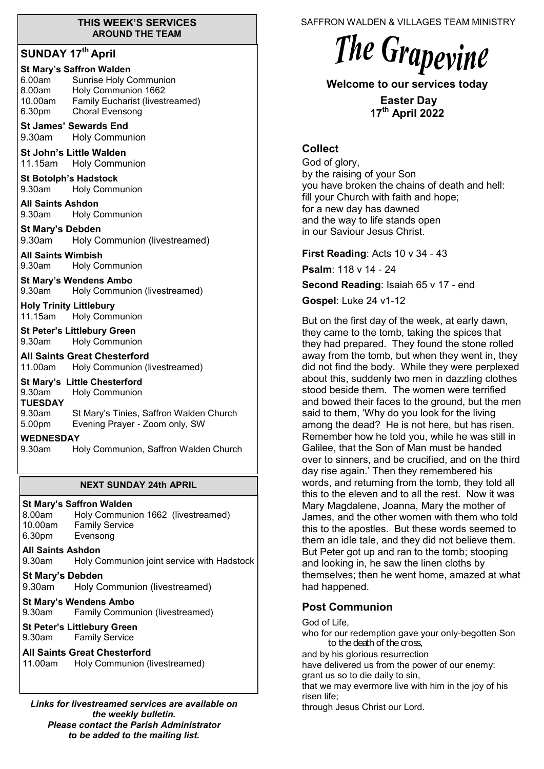#### **THIS WEEK'S SERVICES AROUND THE TEAM**

# **SUNDAY 17th April**

| <b>St Mary's Saffron Walden</b>        |  |  |
|----------------------------------------|--|--|
| Sunrise Holy Communion                 |  |  |
| Holy Communion 1662                    |  |  |
| <b>Family Eucharist (livestreamed)</b> |  |  |
| <b>Choral Evensong</b>                 |  |  |
|                                        |  |  |

**St James' Sewards End**  9.30am Holy Communion

**St John's Little Walden**  11.15am Holy Communion

**St Botolph's Hadstock**  9.30am Holy Communion

**All Saints Ashdon**  9.30am Holy Communion

**St Mary's Debden** 9.30am Holy Communion (livestreamed)

**All Saints Wimbish** 9.30am Holy Communion

**St Mary's Wendens Ambo** 9.30am Holy Communion (livestreamed)

**Holy Trinity Littlebury** 11.15am Holy Communion

**St Peter's Littlebury Green** 9.30am Holy Communion

**All Saints Great Chesterford** 11.00am Holy Communion (livestreamed)

**St Mary's Little Chesterford** 9.30am Holy Communion **TUESDAY** 9.30am St Mary's Tinies, Saffron Walden Church<br>5.00pm Evening Prayer - Zoom only, SW Evening Prayer - Zoom only, SW

#### **WEDNESDAY**

9.30am Holy Communion, Saffron Walden Church

## **NEXT SUNDAY 24th APRIL**

## **St Mary's Saffron Walden**

8.00am Holy Communion 1662 (livestreamed) 10.00am Family Service 6.30pm Evensong

## **All Saints Ashdon**

9.30am Holy Communion joint service with Hadstock

**St Mary's Debden**

9.30am Holy Communion (livestreamed)

# **St Mary's Wendens Ambo**

9.30am Family Communion (livestreamed)

## **St Peter's Littlebury Green** 9.30am Family Service

**All Saints Great Chesterford**

11.00am Holy Communion (livestreamed)

*Links for livestreamed services are available on the weekly bulletin. Please contact the Parish Administrator to be added to the mailing list.*

SAFFRON WALDEN & VILLAGES TEAM MINISTRY

# The Grapevine

**Welcome to our services today** 

**Easter Day 17th April 2022**

# **Collect**

God of glory, by the raising of your Son you have broken the chains of death and hell: fill your Church with faith and hope; for a new day has dawned and the way to life stands open in our Saviour Jesus Christ.

**First Reading**: Acts 10 v 34 - 43

**Psalm**: 118 v 14 - 24

**Second Reading**: Isaiah 65 v 17 - end

**Gospel**: Luke 24 v1-12

But on the first day of the week, at early dawn, they came to the tomb, taking the spices that they had prepared. They found the stone rolled away from the tomb, but when they went in, they did not find the body. While they were perplexed about this, suddenly two men in dazzling clothes stood beside them. The women were terrified and bowed their faces to the ground, but the men said to them, 'Why do you look for the living among the dead? He is not here, but has risen. Remember how he told you, while he was still in Galilee, that the Son of Man must be handed over to sinners, and be crucified, and on the third day rise again.' Then they remembered his words, and returning from the tomb, they told all this to the eleven and to all the rest. Now it was Mary Magdalene, Joanna, Mary the mother of James, and the other women with them who told this to the apostles. But these words seemed to them an idle tale, and they did not believe them. But Peter got up and ran to the tomb; stooping and looking in, he saw the linen cloths by themselves; then he went home, amazed at what had happened.

# **Post Communion**

God of Life, who for our redemption gave your only-begotten Son to the death of the cross, and by his glorious resurrection have delivered us from the power of our enemy: grant us so to die daily to sin, that we may evermore live with him in the joy of his risen life; through Jesus Christ our Lord.